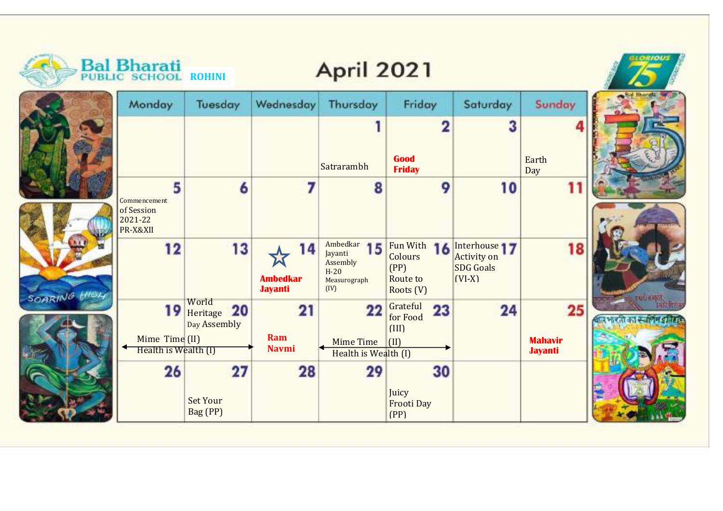|              | <b>Bal Bharati</b><br>PUBLIC SCHOOL ROHINI             |                                      |                                         | <b>April 2021</b>                                                       |                                                            |                                                                     |                                        |                       |
|--------------|--------------------------------------------------------|--------------------------------------|-----------------------------------------|-------------------------------------------------------------------------|------------------------------------------------------------|---------------------------------------------------------------------|----------------------------------------|-----------------------|
|              | Monday                                                 | Tuesday                              | Wednesday                               | Thursday                                                                | Friday                                                     | Saturday                                                            | Sunday                                 |                       |
|              |                                                        |                                      |                                         | Satrarambh                                                              | 2<br>Good<br><b>Friday</b>                                 | З                                                                   | Earth<br>Day                           |                       |
|              | 5<br>Commencement<br>of Session<br>2021-22<br>PR-X&XII | 6                                    |                                         | 8                                                                       | 9                                                          | 10                                                                  | 11                                     |                       |
| SOARING HIGH | 12                                                     | 13                                   | 14<br><b>Ambedkar</b><br><b>Jayanti</b> | Ambedkar<br>15<br>Jayanti<br>Assembly<br>$H-20$<br>Measurograph<br>(IV) | Fun With<br>16<br>Colours<br>(PP)<br>Route to<br>Roots (V) | Interhouse 17<br><b>Activity on</b><br><b>SDG Goals</b><br>$(VI-X)$ | 18                                     | <b>TANAMA</b>         |
|              | 19<br>Mime Time (II)<br>Health is Wealth (I)           | World<br>Heritage 20<br>Day Assembly | 21<br>Ram<br><b>Navmi</b>               | 22<br>Mime Time<br>Health is Wealth (I)                                 | Grateful<br>23<br>for Food<br>(III)<br>$\vert$ (II)        | 24                                                                  | 25<br><b>Mahavir</b><br><b>Jayanti</b> | बल भारती का स्वासन हो |
|              | 26                                                     | 27<br><b>Set Your</b><br>Bag (PP)    | 28                                      | 29                                                                      | 30<br>Juicy<br><b>Frooti Day</b><br>(PP)                   |                                                                     |                                        |                       |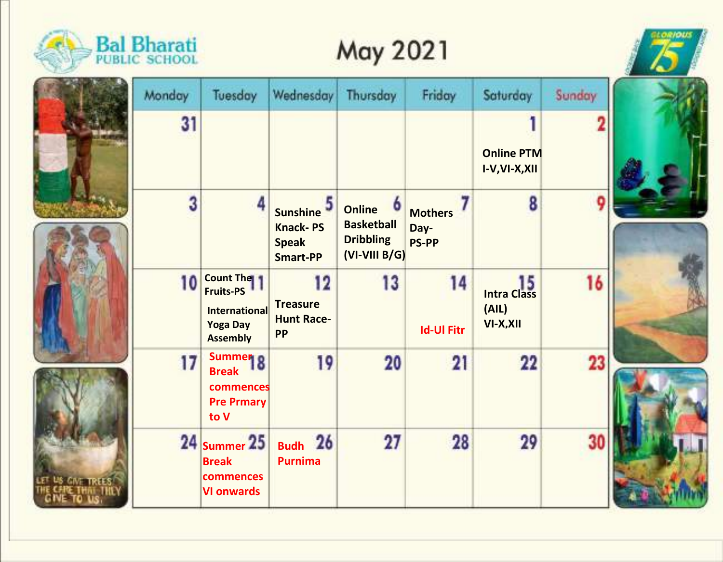

## **May 2021**





| Monday | Tuesday                                                                                            | Wednesday                                                        | Thursday                                                                                          | Friday                                 | Saturday                                       | Sunday |  |
|--------|----------------------------------------------------------------------------------------------------|------------------------------------------------------------------|---------------------------------------------------------------------------------------------------|----------------------------------------|------------------------------------------------|--------|--|
| 31     |                                                                                                    |                                                                  |                                                                                                   |                                        | <b>Online PTM</b><br>I-V, VI-X, XII            |        |  |
| 3      | 4                                                                                                  | Sunshine 5<br><b>Knack-PS</b><br><b>Speak</b><br><b>Smart-PP</b> | $\ddot{\phantom{0}}$<br><b>Online</b><br><b>Basketball</b><br><b>Dribbling</b><br>$(VI-VIII B/G)$ | <b>Mothers</b><br>Day-<br><b>PS-PP</b> | 8                                              | ç      |  |
| 10     | <b>Count The</b><br><b>Fruits-PS</b><br><b>International</b><br><b>Yoga Day</b><br><b>Assembly</b> | 12<br><b>Treasure</b><br><b>Hunt Race-</b><br><b>PP</b>          | 13                                                                                                | 14<br><b>Id-Ul Fitr</b>                | 15<br><b>Intra Class</b><br>(AIL)<br>VI-X, XII | 16     |  |
| 17     | Summer <sub>8</sub><br><b>Break</b><br>commences<br><b>Pre Prmary</b><br>to V                      | 19                                                               | 20                                                                                                | 21                                     | 22                                             | 23     |  |
|        | $24$ Summer $25$<br><b>Break</b><br>commences<br><b>VI onwards</b>                                 | Budh 26<br><b>Purnima</b>                                        | 27                                                                                                | 28                                     | 29                                             | 30     |  |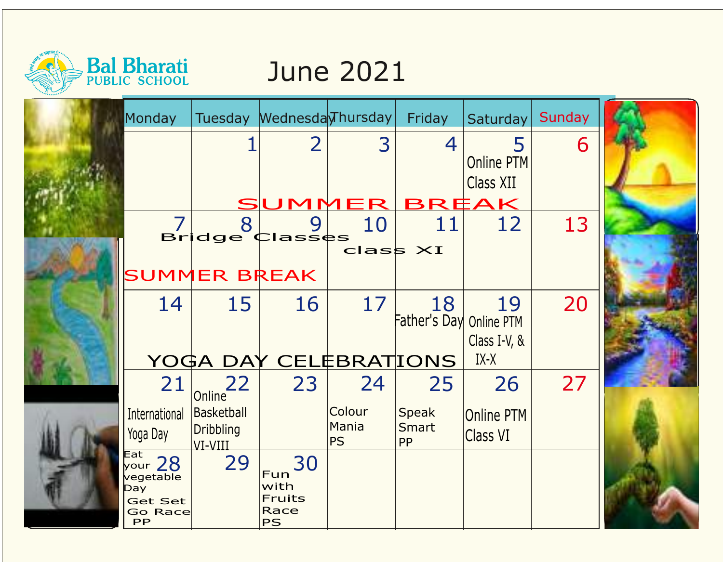

## June 2021

| Monday                                                                       |                                           | Tuesday Mednesda Thursday                        |                              | Friday                        | Saturday                             | Sunday |  |
|------------------------------------------------------------------------------|-------------------------------------------|--------------------------------------------------|------------------------------|-------------------------------|--------------------------------------|--------|--|
|                                                                              |                                           | $\overline{2}$                                   | 3                            | $\overline{4}$                | 5<br>Online PTM<br>Class XII         | 6      |  |
|                                                                              | 8                                         | SUMMER BREAK<br>9                                | 10                           | 11                            | 12                                   | 13     |  |
|                                                                              |                                           | <b>Bridge Classes</b>                            |                              |                               |                                      |        |  |
|                                                                              |                                           |                                                  | $class \times I$             |                               |                                      |        |  |
|                                                                              | <b>SUMMER BREAK</b>                       |                                                  |                              |                               |                                      |        |  |
| 14                                                                           | 15                                        | 16                                               | 17                           | 18<br>Father's Day Online PTM | 19<br>Class I-V, &                   | 20     |  |
|                                                                              |                                           | YOGA DAY CELEBRATIONS                            |                              |                               | IX-X                                 |        |  |
| 21                                                                           | 22<br>Online <sup>-</sup>                 | 23                                               | 24                           | 25                            | 26                                   | 27     |  |
| International<br>Yoga Day                                                    | Basketball<br><b>Dribbling</b><br>VI-VIII |                                                  | Colour<br>Mania<br><b>PS</b> | Speak<br>Smart<br><b>PP</b>   | <b>Online PTM</b><br><b>Class VI</b> |        |  |
| Eat<br>$\frac{1}{28}$<br>vegetable<br>Day<br><b>Get Set</b><br>Go Race<br>PP | 29                                        | 30<br>Fun<br>with<br>Fruits<br>Race<br><b>PS</b> |                              |                               |                                      |        |  |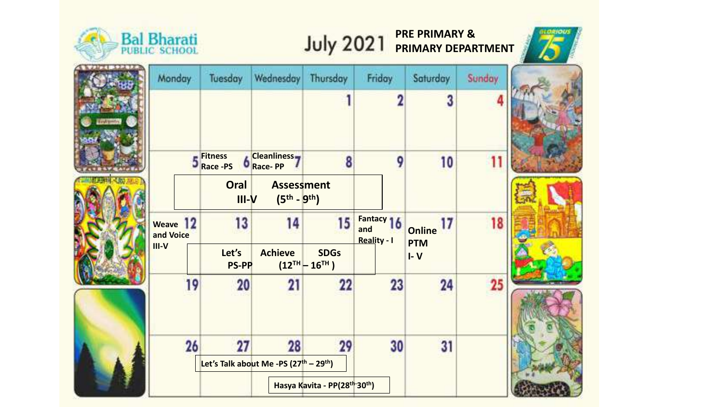

71 CO TT

## **PRE PRIMARY & PRIMARY DEPARTMENT**







| Monday                |    | Tuesday                                                        | Wednesday                                | Thursday                             | Friday                            | Saturday | Sunday |  |
|-----------------------|----|----------------------------------------------------------------|------------------------------------------|--------------------------------------|-----------------------------------|----------|--------|--|
|                       |    |                                                                |                                          |                                      | 2                                 | 3        |        |  |
|                       |    | <b>Fitness</b><br>Race -PS                                     | <b>Cleanliness</b><br><b>Race-PP</b>     | 8                                    | 9                                 | 10       | 11     |  |
|                       |    | Oral<br>$III-V$                                                | <b>Assessment</b><br>$(5^{th} - 9^{th})$ |                                      |                                   |          |        |  |
| Weave 12<br>and Voice | 13 | 14                                                             | 15                                       | Fantacy 16<br>and<br>Reality - I     | 17<br><b>Online</b><br><b>PTM</b> | 18       |        |  |
| $III-V$               |    | Let's<br><b>PS-PP</b>                                          | <b>Achieve</b>                           | <b>SDGs</b><br>$(12^{TH} - 16^{TH})$ |                                   | $I - V$  |        |  |
|                       | 19 | 20                                                             |                                          | 22                                   | 23                                | 24       | 25     |  |
|                       | 26 | 27                                                             | 28                                       | 29                                   | 30                                | 31       |        |  |
|                       |    | Let's Talk about Me -PS (27 <sup>th</sup> - 29 <sup>th</sup> ) |                                          |                                      |                                   |          |        |  |
|                       |    |                                                                |                                          | Hasya Kavita - PP(28th-30th)         |                                   |          |        |  |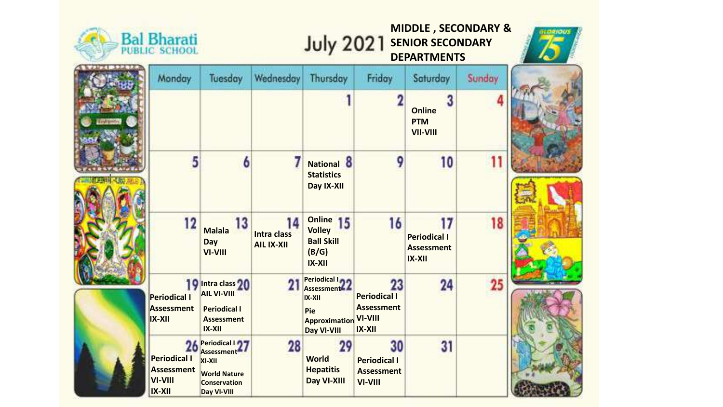



**MIDDLE , SECONDARY & July 2021 SENIOR SECONDARY**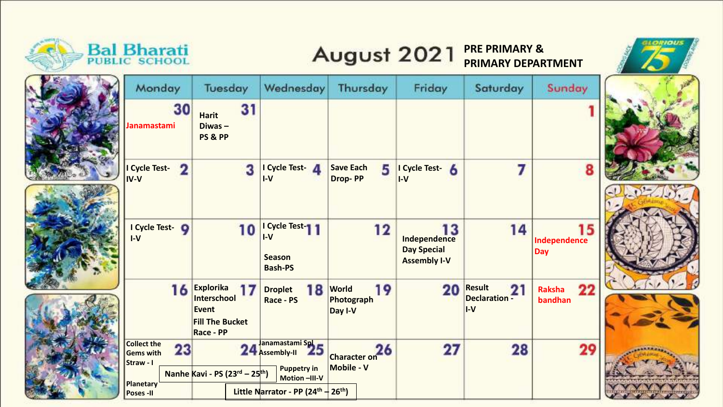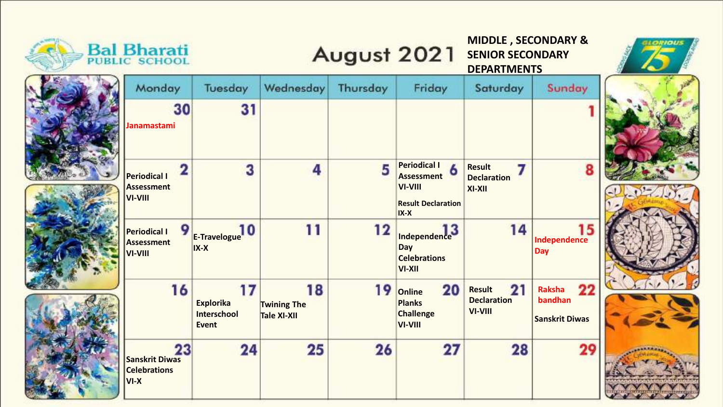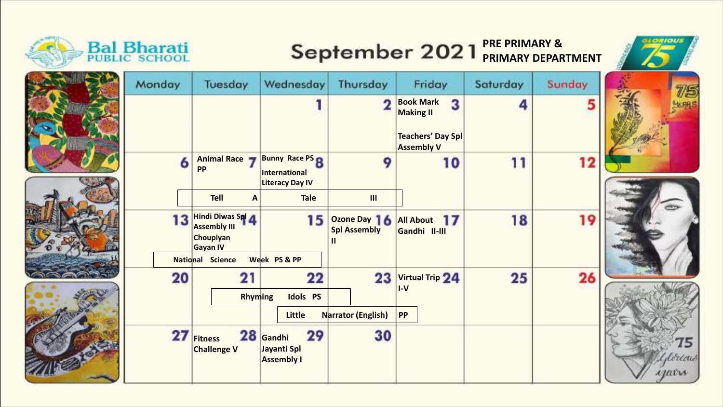

## **PRE PRIMARY & PRIMARY DEPARTMENT**





| Monday | Tuesday                                                                       | Wednesday                                                         | Thursday                                 | Friday                                                                                     | Saturday | Sunday |  |
|--------|-------------------------------------------------------------------------------|-------------------------------------------------------------------|------------------------------------------|--------------------------------------------------------------------------------------------|----------|--------|--|
|        |                                                                               |                                                                   |                                          | <b>Book Mark</b><br>3<br><b>Making II</b><br><b>Teachers' Day Spl</b><br><b>Assembly V</b> | 4        |        |  |
| 6      | Animal Race<br><b>PP</b>                                                      | <b>Bunny Race PS R</b><br>International<br><b>Literacy Day IV</b> | 9                                        | 10                                                                                         | 11       | 12     |  |
|        | <b>Tell</b><br>$\boldsymbol{A}$                                               | <b>Tale</b>                                                       | III                                      |                                                                                            |          |        |  |
| 13     | <b>Hindi Diwas Spi</b><br><b>Assembly III</b><br>Choupiyan<br><b>Gayan IV</b> | 15                                                                | Ozone Day 16<br><b>Spl Assembly</b><br>Ш | All About 17<br>Gandhi II-III                                                              | 18       | 19     |  |
|        | <b>National Science</b>                                                       | Week PS & PP                                                      |                                          |                                                                                            |          |        |  |
| 20     | 21<br>Rhyming                                                                 | 22<br><b>Idols PS</b>                                             | 23                                       | Virtual Trip 24<br>$I-V$                                                                   | 25       | 26     |  |
|        |                                                                               | <b>Little</b>                                                     | <b>Narrator (English)</b>                | <b>PP</b>                                                                                  |          |        |  |
| 27     | <b>Fitness</b><br><b>Challenge V</b>                                          | 28 Gandhi<br>29<br>Jayanti Spl<br><b>Assembly I</b>               | 30                                       |                                                                                            |          |        |  |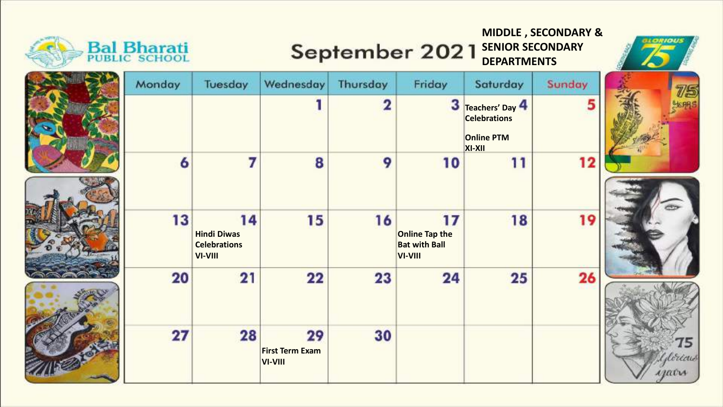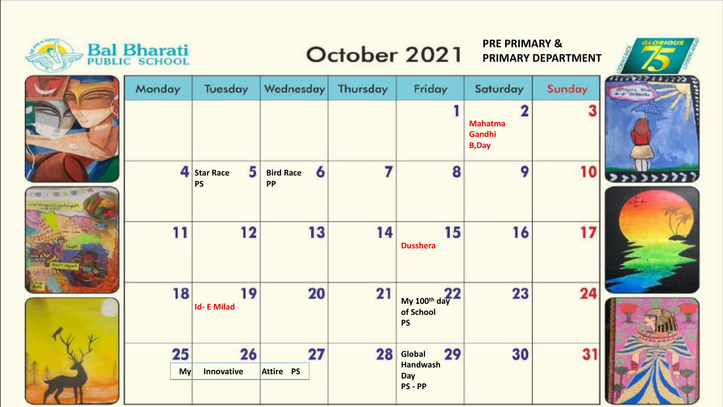